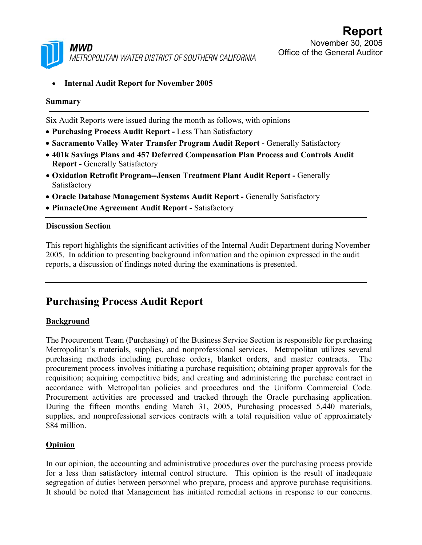

• **Internal Audit Report for November 2005** 

#### **Summary**

Six Audit Reports were issued during the month as follows, with opinions

- **Purchasing Process Audit Report -** Less Than Satisfactory
- **Sacramento Valley Water Transfer Program Audit Report -** Generally Satisfactory
- **401k Savings Plans and 457 Deferred Compensation Plan Process and Controls Audit Report - Generally Satisfactory**
- **Oxidation Retrofit Program--Jensen Treatment Plant Audit Report -** Generally Satisfactory
- **Oracle Database Management Systems Audit Report -** Generally Satisfactory
- **PinnacleOne Agreement Audit Report** Satisfactory

#### **Discussion Section**

This report highlights the significant activities of the Internal Audit Department during November 2005. In addition to presenting background information and the opinion expressed in the audit reports, a discussion of findings noted during the examinations is presented.

## **Purchasing Process Audit Report**

#### **Background**

The Procurement Team (Purchasing) of the Business Service Section is responsible for purchasing Metropolitan's materials, supplies, and nonprofessional services. Metropolitan utilizes several purchasing methods including purchase orders, blanket orders, and master contracts. The procurement process involves initiating a purchase requisition; obtaining proper approvals for the requisition; acquiring competitive bids; and creating and administering the purchase contract in accordance with Metropolitan policies and procedures and the Uniform Commercial Code. Procurement activities are processed and tracked through the Oracle purchasing application. During the fifteen months ending March 31, 2005, Purchasing processed 5,440 materials, supplies, and nonprofessional services contracts with a total requisition value of approximately \$84 million.

## **Opinion**

In our opinion, the accounting and administrative procedures over the purchasing process provide for a less than satisfactory internal control structure. This opinion is the result of inadequate segregation of duties between personnel who prepare, process and approve purchase requisitions. It should be noted that Management has initiated remedial actions in response to our concerns.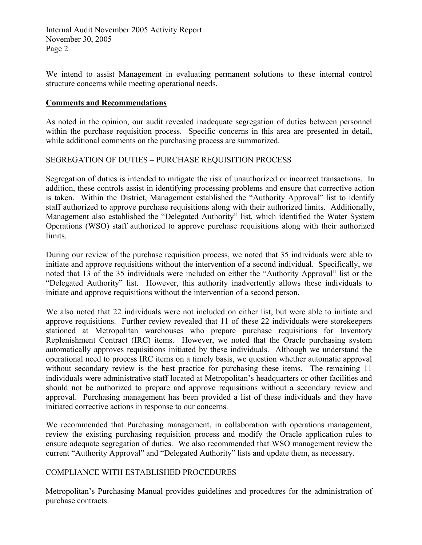We intend to assist Management in evaluating permanent solutions to these internal control structure concerns while meeting operational needs.

#### **Comments and Recommendations**

As noted in the opinion, our audit revealed inadequate segregation of duties between personnel within the purchase requisition process. Specific concerns in this area are presented in detail, while additional comments on the purchasing process are summarized.

#### SEGREGATION OF DUTIES – PURCHASE REQUISITION PROCESS

Segregation of duties is intended to mitigate the risk of unauthorized or incorrect transactions. In addition, these controls assist in identifying processing problems and ensure that corrective action is taken. Within the District, Management established the "Authority Approval" list to identify staff authorized to approve purchase requisitions along with their authorized limits. Additionally, Management also established the "Delegated Authority" list, which identified the Water System Operations (WSO) staff authorized to approve purchase requisitions along with their authorized limits.

During our review of the purchase requisition process, we noted that 35 individuals were able to initiate and approve requisitions without the intervention of a second individual. Specifically, we noted that 13 of the 35 individuals were included on either the "Authority Approval" list or the "Delegated Authority" list. However, this authority inadvertently allows these individuals to initiate and approve requisitions without the intervention of a second person.

We also noted that 22 individuals were not included on either list, but were able to initiate and approve requisitions. Further review revealed that 11 of these 22 individuals were storekeepers stationed at Metropolitan warehouses who prepare purchase requisitions for Inventory Replenishment Contract (IRC) items. However, we noted that the Oracle purchasing system automatically approves requisitions initiated by these individuals. Although we understand the operational need to process IRC items on a timely basis, we question whether automatic approval without secondary review is the best practice for purchasing these items. The remaining 11 individuals were administrative staff located at Metropolitan's headquarters or other facilities and should not be authorized to prepare and approve requisitions without a secondary review and approval. Purchasing management has been provided a list of these individuals and they have initiated corrective actions in response to our concerns.

We recommended that Purchasing management, in collaboration with operations management, review the existing purchasing requisition process and modify the Oracle application rules to ensure adequate segregation of duties. We also recommended that WSO management review the current "Authority Approval" and "Delegated Authority" lists and update them, as necessary.

## COMPLIANCE WITH ESTABLISHED PROCEDURES

Metropolitan's Purchasing Manual provides guidelines and procedures for the administration of purchase contracts.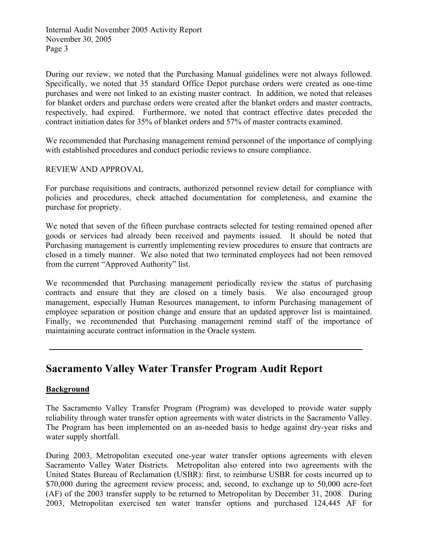During our review, we noted that the Purchasing Manual guidelines were not always followed. Specifically, we noted that 35 standard Office Depot purchase orders were created as one-time purchases and were not linked to an existing master contract. In addition, we noted that releases for blanket orders and purchase orders were created after the blanket orders and master contracts, respectively, had expired. Furthermore, we noted that contract effective dates preceded the contract initiation dates for 35% of blanket orders and 57% of master contracts examined.

We recommended that Purchasing management remind personnel of the importance of complying with established procedures and conduct periodic reviews to ensure compliance.

#### REVIEW AND APPROVAL

For purchase requisitions and contracts, authorized personnel review detail for compliance with policies and procedures, check attached documentation for completeness, and examine the purchase for propriety.

We noted that seven of the fifteen purchase contracts selected for testing remained opened after goods or services had already been received and payments issued. It should be noted that Purchasing management is currently implementing review procedures to ensure that contracts are closed in a timely manner. We also noted that two terminated employees had not been removed from the current "Approved Authority" list.

We recommended that Purchasing management periodically review the status of purchasing contracts and ensure that they are closed on a timely basis. We also encouraged group management, especially Human Resources management, to inform Purchasing management of employee separation or position change and ensure that an updated approver list is maintained. Finally, we recommended that Purchasing management remind staff of the importance of maintaining accurate contract information in the Oracle system.

## **Sacramento Valley Water Transfer Program Audit Report**

#### **Background**

The Sacramento Valley Transfer Program (Program) was developed to provide water supply reliability through water transfer option agreements with water districts in the Sacramento Valley. The Program has been implemented on an as-needed basis to hedge against dry-year risks and water supply shortfall.

During 2003, Metropolitan executed one-year water transfer options agreements with eleven Sacramento Valley Water Districts. Metropolitan also entered into two agreements with the United States Bureau of Reclamation (USBR): first, to reimburse USBR for costs incurred up to \$70,000 during the agreement review process; and, second, to exchange up to 50,000 acre-feet (AF) of the 2003 transfer supply to be returned to Metropolitan by December 31, 2008. During 2003, Metropolitan exercised ten water transfer options and purchased 124,445 AF for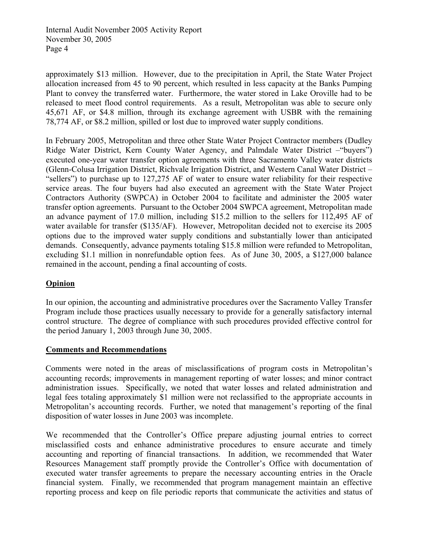approximately \$13 million. However, due to the precipitation in April, the State Water Project allocation increased from 45 to 90 percent, which resulted in less capacity at the Banks Pumping Plant to convey the transferred water. Furthermore, the water stored in Lake Oroville had to be released to meet flood control requirements. As a result, Metropolitan was able to secure only 45,671 AF, or \$4.8 million, through its exchange agreement with USBR with the remaining 78,774 AF, or \$8.2 million, spilled or lost due to improved water supply conditions.

In February 2005, Metropolitan and three other State Water Project Contractor members (Dudley Ridge Water District, Kern County Water Agency, and Palmdale Water District –"buyers") executed one-year water transfer option agreements with three Sacramento Valley water districts (Glenn-Colusa Irrigation District, Richvale Irrigation District, and Western Canal Water District – "sellers") to purchase up to 127,275 AF of water to ensure water reliability for their respective service areas. The four buyers had also executed an agreement with the State Water Project Contractors Authority (SWPCA) in October 2004 to facilitate and administer the 2005 water transfer option agreements. Pursuant to the October 2004 SWPCA agreement, Metropolitan made an advance payment of 17.0 million, including \$15.2 million to the sellers for 112,495 AF of water available for transfer (\$135/AF). However, Metropolitan decided not to exercise its 2005 options due to the improved water supply conditions and substantially lower than anticipated demands. Consequently, advance payments totaling \$15.8 million were refunded to Metropolitan, excluding \$1.1 million in nonrefundable option fees. As of June 30, 2005, a \$127,000 balance remained in the account, pending a final accounting of costs.

## **Opinion**

In our opinion, the accounting and administrative procedures over the Sacramento Valley Transfer Program include those practices usually necessary to provide for a generally satisfactory internal control structure. The degree of compliance with such procedures provided effective control for the period January 1, 2003 through June 30, 2005.

## **Comments and Recommendations**

Comments were noted in the areas of misclassifications of program costs in Metropolitan's accounting records; improvements in management reporting of water losses; and minor contract administration issues. Specifically, we noted that water losses and related administration and legal fees totaling approximately \$1 million were not reclassified to the appropriate accounts in Metropolitan's accounting records. Further, we noted that management's reporting of the final disposition of water losses in June 2003 was incomplete.

We recommended that the Controller's Office prepare adjusting journal entries to correct misclassified costs and enhance administrative procedures to ensure accurate and timely accounting and reporting of financial transactions. In addition, we recommended that Water Resources Management staff promptly provide the Controller's Office with documentation of executed water transfer agreements to prepare the necessary accounting entries in the Oracle financial system. Finally, we recommended that program management maintain an effective reporting process and keep on file periodic reports that communicate the activities and status of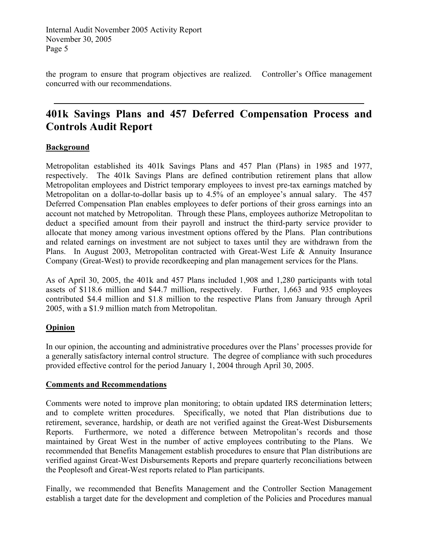the program to ensure that program objectives are realized.Controller's Office management concurred with our recommendations.

# **401k Savings Plans and 457 Deferred Compensation Process and Controls Audit Report**

## **Background**

Metropolitan established its 401k Savings Plans and 457 Plan (Plans) in 1985 and 1977, respectively. The 401k Savings Plans are defined contribution retirement plans that allow Metropolitan employees and District temporary employees to invest pre-tax earnings matched by Metropolitan on a dollar-to-dollar basis up to 4.5% of an employee's annual salary. The 457 Deferred Compensation Plan enables employees to defer portions of their gross earnings into an account not matched by Metropolitan. Through these Plans, employees authorize Metropolitan to deduct a specified amount from their payroll and instruct the third-party service provider to allocate that money among various investment options offered by the Plans. Plan contributions and related earnings on investment are not subject to taxes until they are withdrawn from the Plans. In August 2003, Metropolitan contracted with Great-West Life & Annuity Insurance Company (Great-West) to provide recordkeeping and plan management services for the Plans.

As of April 30, 2005, the 401k and 457 Plans included 1,908 and 1,280 participants with total assets of \$118.6 million and \$44.7 million, respectively. Further, 1,663 and 935 employees contributed \$4.4 million and \$1.8 million to the respective Plans from January through April 2005, with a \$1.9 million match from Metropolitan.

## **Opinion**

In our opinion, the accounting and administrative procedures over the Plans' processes provide for a generally satisfactory internal control structure. The degree of compliance with such procedures provided effective control for the period January 1, 2004 through April 30, 2005.

## **Comments and Recommendations**

Comments were noted to improve plan monitoring; to obtain updated IRS determination letters; and to complete written procedures. Specifically, we noted that Plan distributions due to retirement, severance, hardship, or death are not verified against the Great-West Disbursements Reports. Furthermore, we noted a difference between Metropolitan's records and those maintained by Great West in the number of active employees contributing to the Plans. We recommended that Benefits Management establish procedures to ensure that Plan distributions are verified against Great-West Disbursements Reports and prepare quarterly reconciliations between the Peoplesoft and Great-West reports related to Plan participants.

Finally, we recommended that Benefits Management and the Controller Section Management establish a target date for the development and completion of the Policies and Procedures manual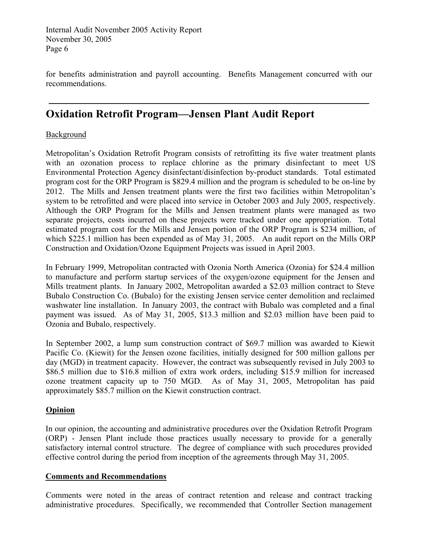for benefits administration and payroll accounting. Benefits Management concurred with our recommendations.

# **Oxidation Retrofit Program—Jensen Plant Audit Report**

#### **Background**

Metropolitan's Oxidation Retrofit Program consists of retrofitting its five water treatment plants with an ozonation process to replace chlorine as the primary disinfectant to meet US Environmental Protection Agency disinfectant/disinfection by-product standards. Total estimated program cost for the ORP Program is \$829.4 million and the program is scheduled to be on-line by 2012. The Mills and Jensen treatment plants were the first two facilities within Metropolitan's system to be retrofitted and were placed into service in October 2003 and July 2005, respectively. Although the ORP Program for the Mills and Jensen treatment plants were managed as two separate projects, costs incurred on these projects were tracked under one appropriation. Total estimated program cost for the Mills and Jensen portion of the ORP Program is \$234 million, of which \$225.1 million has been expended as of May 31, 2005. An audit report on the Mills ORP Construction and Oxidation/Ozone Equipment Projects was issued in April 2003.

In February 1999, Metropolitan contracted with Ozonia North America (Ozonia) for \$24.4 million to manufacture and perform startup services of the oxygen/ozone equipment for the Jensen and Mills treatment plants. In January 2002, Metropolitan awarded a \$2.03 million contract to Steve Bubalo Construction Co. (Bubalo) for the existing Jensen service center demolition and reclaimed washwater line installation. In January 2003, the contract with Bubalo was completed and a final payment was issued. As of May 31, 2005, \$13.3 million and \$2.03 million have been paid to Ozonia and Bubalo, respectively.

In September 2002, a lump sum construction contract of \$69.7 million was awarded to Kiewit Pacific Co. (Kiewit) for the Jensen ozone facilities, initially designed for 500 million gallons per day (MGD) in treatment capacity. However, the contract was subsequently revised in July 2003 to \$86.5 million due to \$16.8 million of extra work orders, including \$15.9 million for increased ozone treatment capacity up to 750 MGD. As of May 31, 2005, Metropolitan has paid approximately \$85.7 million on the Kiewit construction contract.

## **Opinion**

In our opinion, the accounting and administrative procedures over the Oxidation Retrofit Program (ORP) - Jensen Plant include those practices usually necessary to provide for a generally satisfactory internal control structure. The degree of compliance with such procedures provided effective control during the period from inception of the agreements through May 31, 2005.

#### **Comments and Recommendations**

Comments were noted in the areas of contract retention and release and contract tracking administrative procedures. Specifically, we recommended that Controller Section management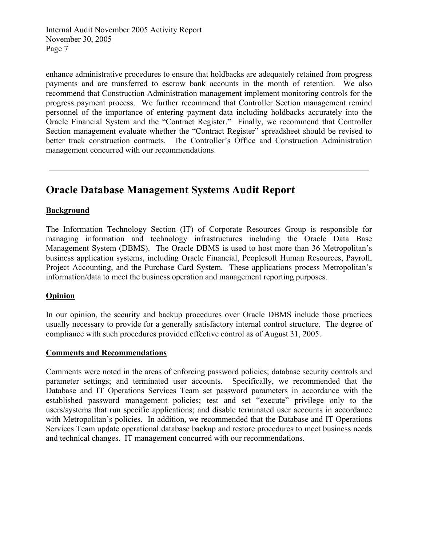enhance administrative procedures to ensure that holdbacks are adequately retained from progress payments and are transferred to escrow bank accounts in the month of retention. We also recommend that Construction Administration management implement monitoring controls for the progress payment process. We further recommend that Controller Section management remind personnel of the importance of entering payment data including holdbacks accurately into the Oracle Financial System and the "Contract Register." Finally, we recommend that Controller Section management evaluate whether the "Contract Register" spreadsheet should be revised to better track construction contracts. The Controller's Office and Construction Administration management concurred with our recommendations.

## **Oracle Database Management Systems Audit Report**

#### **Background**

The Information Technology Section (IT) of Corporate Resources Group is responsible for managing information and technology infrastructures including the Oracle Data Base Management System (DBMS). The Oracle DBMS is used to host more than 36 Metropolitan's business application systems, including Oracle Financial, Peoplesoft Human Resources, Payroll, Project Accounting, and the Purchase Card System. These applications process Metropolitan's information/data to meet the business operation and management reporting purposes.

#### **Opinion**

In our opinion, the security and backup procedures over Oracle DBMS include those practices usually necessary to provide for a generally satisfactory internal control structure. The degree of compliance with such procedures provided effective control as of August 31, 2005.

#### **Comments and Recommendations**

Comments were noted in the areas of enforcing password policies; database security controls and parameter settings; and terminated user accounts. Specifically, we recommended that the Database and IT Operations Services Team set password parameters in accordance with the established password management policies; test and set "execute" privilege only to the users/systems that run specific applications; and disable terminated user accounts in accordance with Metropolitan's policies. In addition, we recommended that the Database and IT Operations Services Team update operational database backup and restore procedures to meet business needs and technical changes. IT management concurred with our recommendations.